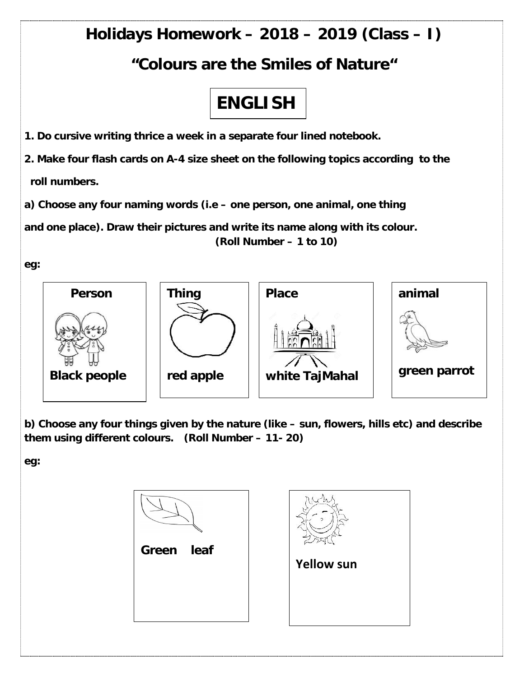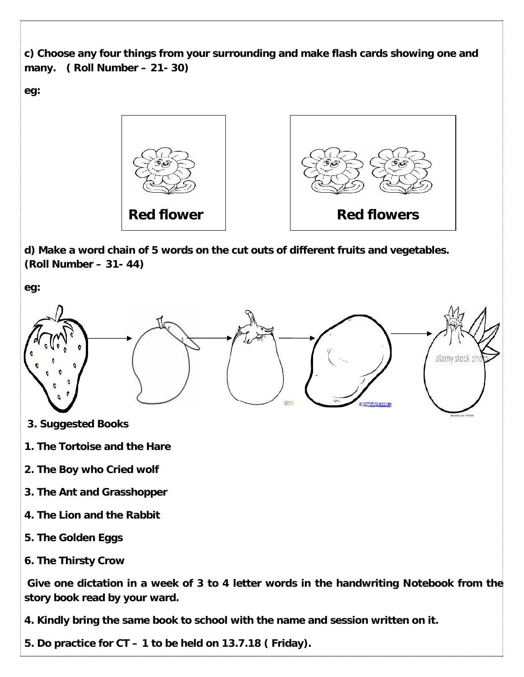```
c) Choose any four things from your surrounding and make flash cards showing one and
many. ( Roll Number – 21- 30)
```
**eg:**



**d) Make a word chain of 5 words on the cut outs of different fruits and vegetables. (Roll Number – 31- 44)**

**eg:**



- **3. Suggested Books**
- **1. The Tortoise and the Hare**
- **2. The Boy who Cried wolf**
- **3. The Ant and Grasshopper**
- **4. The Lion and the Rabbit**
- **5. The Golden Eggs**
- **6. The Thirsty Crow**

**Give one dictation in a week of 3 to 4 letter words in the handwriting Notebook from the story book read by your ward.**

**4. Kindly bring the same book to school with the name and session written on it.**

**5. Do practice for CT – 1 to be held on 13.7.18 ( Friday).**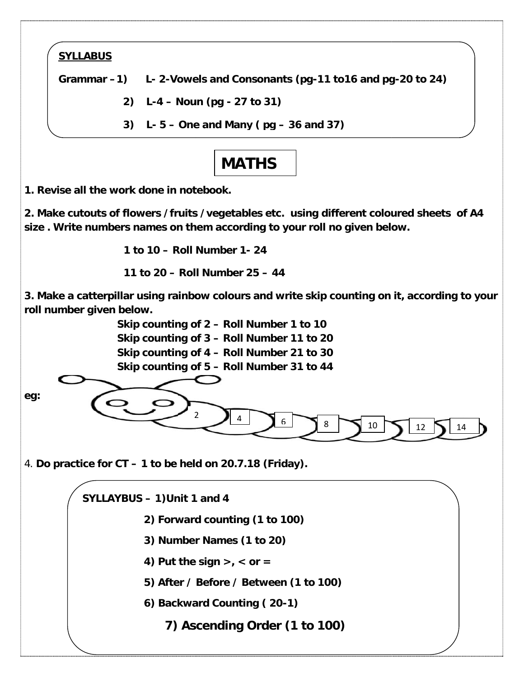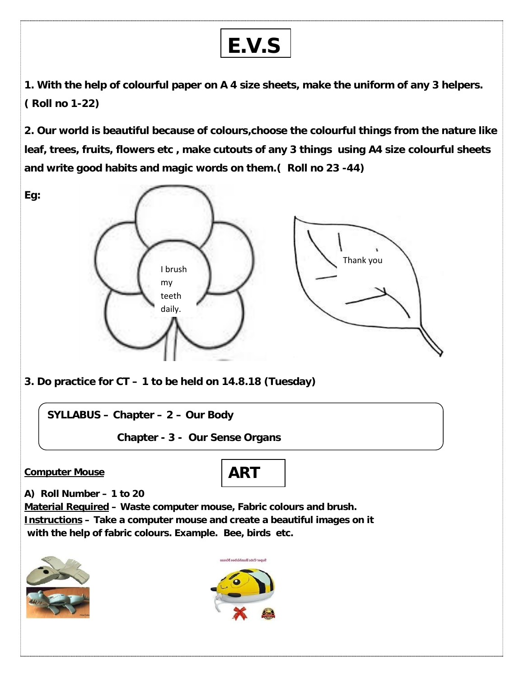

**1. With the help of colourful paper on A 4 size sheets, make the uniform of any 3 helpers. ( Roll no 1-22)**

**2. Our world is beautiful because of colours,choose the colourful things from the nature like leaf, trees, fruits, flowers etc , make cutouts of any 3 things using A4 size colourful sheets and write good habits and magic words on them.( Roll no 23 -44)**

**Eg:**



**3. Do practice for CT – 1 to be held on 14.8.18 (Tuesday)**

**SYLLABUS – Chapter – 2 – Our Body**

**Chapter - 3 - Our Sense Organs**

## **Computer Mouse**



**A) Roll Number – 1 to 20**

**Material Required – Waste computer mouse, Fabric colours and brush. Instructions – Take a computer mouse and create a beautiful images on it with the help of fabric colours. Example. Bee, birds etc.**



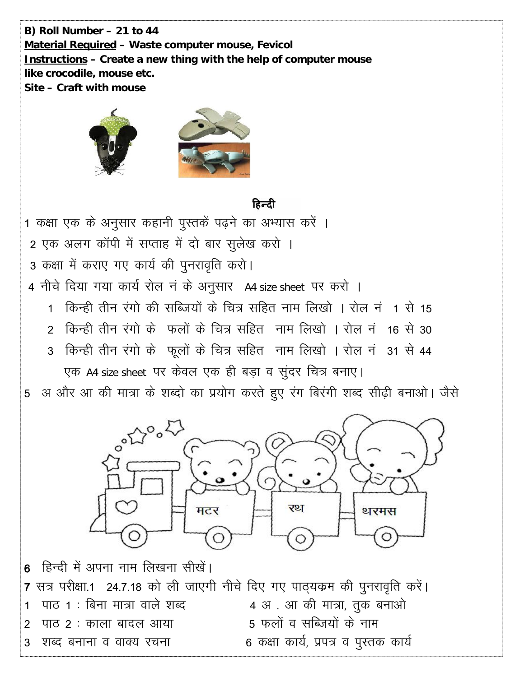B) Roll Number – 21 to 44 Material Required - Waste computer mouse, Fevicol Instructions - Create a new thing with the help of computer mouse like crocodile, mouse etc. Site - Craft with mouse



## हिन्दी

1 कक्षा एक के अनुसार कहानी पुस्तकें पढ़ने का अभ्यास करें । 2 एक अलग कॉपी में सप्ताह में दो बार सुलेख करो । 3 कक्षा में कराए गए कार्य की पुनरावृति करो। 4 नीचे दिया गया कार्य रोल न के अनुसार A4 size sheet पर करो ।

- 1 किन्ही तीन रंगो की सब्जियों के चित्र सहित नाम लिखो । रोल नं 1 से 15
- 2) किन्ही तीन रंगो के फलों के चित्र सहित) नाम लिखो । रोल नंज16 से 30
- 3 किन्ही तीन रंगो के फूलों के चित्र सहित नाम लिखो । रोल नं 31 से 44

एक A4 size sheet पर केवल एक ही बड़ा व सुंदर चित्र बनाए।

5 अ और आ की मात्रा के शब्दो का प्रयोग करते हुए रंग बिरंगी शब्द सीढ़ी बनाओ। जैसे



6 हिन्दी में अपना नाम लिखना सीखें। 7 सत्र परीक्षा.1 24.7.18 को ली जाएगी नीचे दिए गए पाठ्यकम की पुनरावृति करें। 4 अ. आ की मात्रा, तुक बनाओ पाठ 1 : बिना मात्रा वाले शब्द  $\mathbf 1$ 5 फलों व सब्जियों के नाम पाठ २ : काला बादल आया 2 6 कक्षा कार्य, प्रपत्र व पुस्तक कार्य शब्द बनाना व वाक्य रचना 3